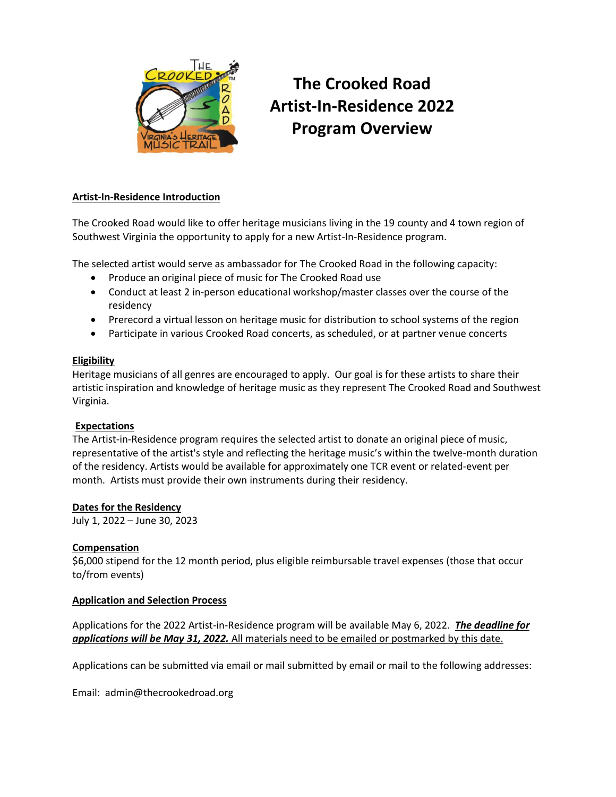

# **The Crooked Road Artist-In-Residence 2022 Program Overview**

# **Artist-In-Residence Introduction**

The Crooked Road would like to offer heritage musicians living in the 19 county and 4 town region of Southwest Virginia the opportunity to apply for a new Artist-In-Residence program.

The selected artist would serve as ambassador for The Crooked Road in the following capacity:

- Produce an original piece of music for The Crooked Road use
- Conduct at least 2 in-person educational workshop/master classes over the course of the residency
- Prerecord a virtual lesson on heritage music for distribution to school systems of the region
- Participate in various Crooked Road concerts, as scheduled, or at partner venue concerts

## **Eligibility**

Heritage musicians of all genres are encouraged to apply. Our goal is for these artists to share their artistic inspiration and knowledge of heritage music as they represent The Crooked Road and Southwest Virginia.

## **Expectations**

The Artist-in-Residence program requires the selected artist to donate an original piece of music, representative of the artist's style and reflecting the heritage music's within the twelve-month duration of the residency. Artists would be available for approximately one TCR event or related-event per month. Artists must provide their own instruments during their residency.

## **Dates for the Residency**

July 1, 2022 – June 30, 2023

## **Compensation**

\$6,000 stipend for the 12 month period, plus eligible reimbursable travel expenses (those that occur to/from events)

## **Application and Selection Process**

Applications for the 2022 Artist-in-Residence program will be available May 6, 2022. *The deadline for applications will be May 31, 2022.* All materials need to be emailed or postmarked by this date.

Applications can be submitted via email or mail submitted by email or mail to the following addresses:

Email: [admin@thecrookedroad.org](mailto:admin@thecrookedroad.org)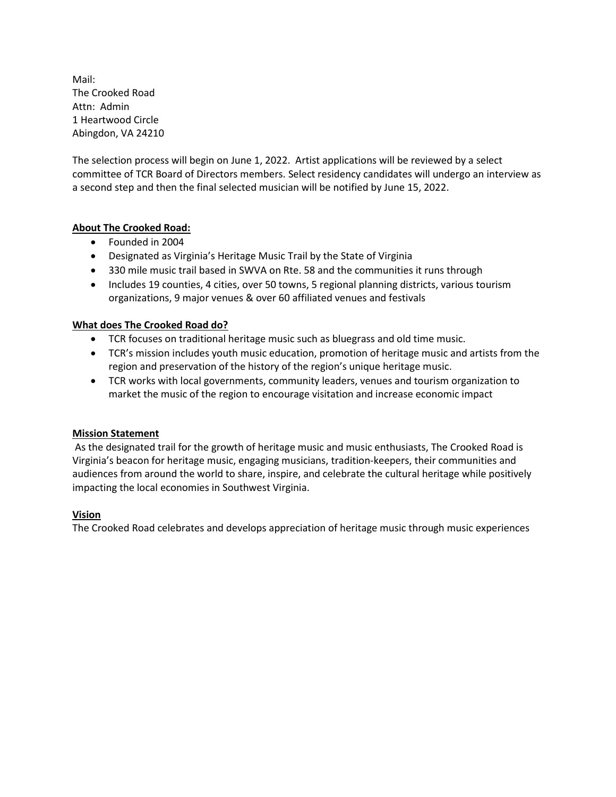Mail: The Crooked Road Attn: Admin 1 Heartwood Circle Abingdon, VA 24210

The selection process will begin on June 1, 2022. Artist applications will be reviewed by a select committee of TCR Board of Directors members. Select residency candidates will undergo an interview as a second step and then the final selected musician will be notified by June 15, 2022.

# **About The Crooked Road:**

- Founded in 2004
- Designated as Virginia's Heritage Music Trail by the State of Virginia
- 330 mile music trail based in SWVA on Rte. 58 and the communities it runs through
- Includes 19 counties, 4 cities, over 50 towns, 5 regional planning districts, various tourism organizations, 9 major venues & over 60 affiliated venues and festivals

# **What does The Crooked Road do?**

- TCR focuses on traditional heritage music such as bluegrass and old time music.
- TCR's mission includes youth music education, promotion of heritage music and artists from the region and preservation of the history of the region's unique heritage music.
- TCR works with local governments, community leaders, venues and tourism organization to market the music of the region to encourage visitation and increase economic impact

## **Mission Statement**

As the designated trail for the growth of heritage music and music enthusiasts, The Crooked Road is Virginia's beacon for heritage music, engaging musicians, tradition‐keepers, their communities and audiences from around the world to share, inspire, and celebrate the cultural heritage while positively impacting the local economies in Southwest Virginia.

# **Vision**

The Crooked Road celebrates and develops appreciation of heritage music through music experiences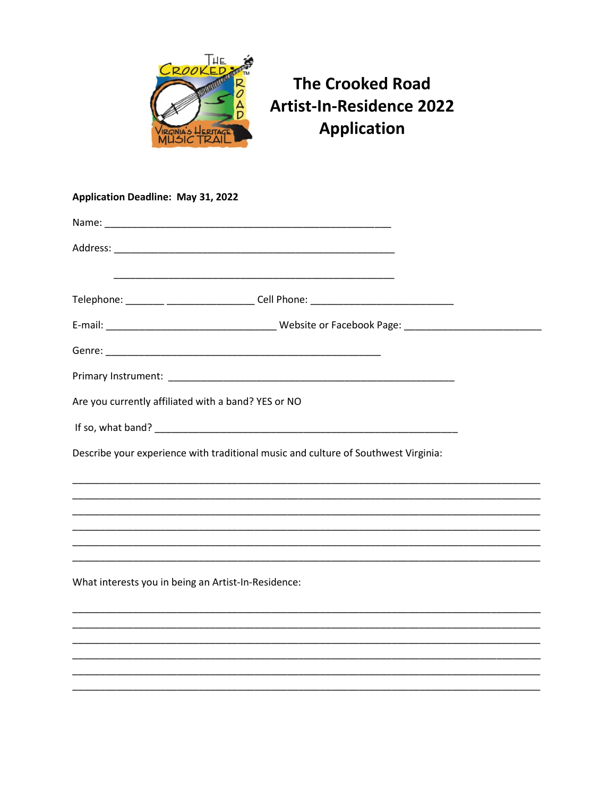

# **The Crooked Road Artist-In-Residence 2022 Application**

# **Application Deadline: May 31, 2022** Telephone: \_\_\_\_\_\_\_ \_\_\_\_\_\_\_\_\_\_\_\_\_\_\_\_\_\_\_\_\_\_\_Cell Phone: \_\_\_\_\_\_\_\_\_\_\_\_\_\_\_\_\_\_\_\_\_\_\_\_\_\_ Primary Instrument: Law Primary Law Primary Instrument: Are you currently affiliated with a band? YES or NO Describe your experience with traditional music and culture of Southwest Virginia: What interests you in being an Artist-In-Residence: